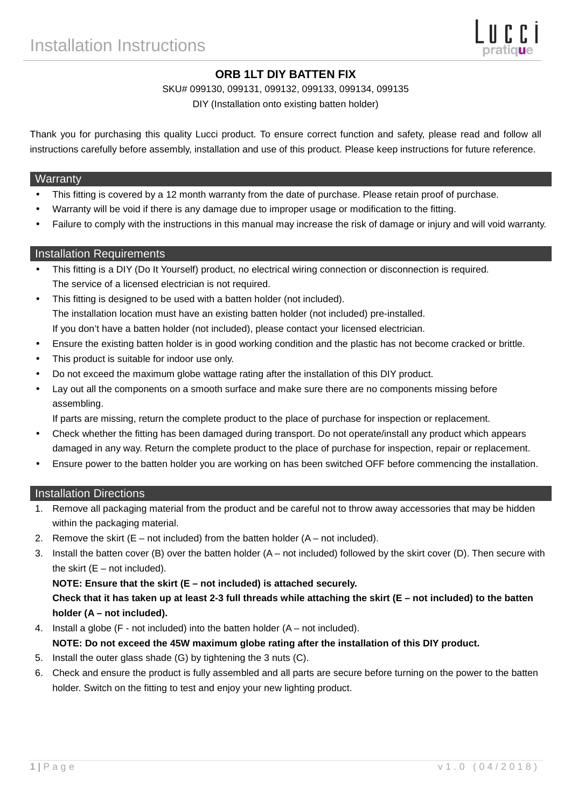# **ORB 1LT DIY BATTEN FIX**

SKU# 099130, 099131, 099132, 099133, 099134, 099135

DIY (Installation onto existing batten holder)

Thank you for purchasing this quality Lucci product. To ensure correct function and safety, please read and follow all instructions carefully before assembly, installation and use of this product. Please keep instructions for future reference.

#### **Warranty**

- This fitting is covered by a 12 month warranty from the date of purchase. Please retain proof of purchase.
- Warranty will be void if there is any damage due to improper usage or modification to the fitting.
- Failure to comply with the instructions in this manual may increase the risk of damage or injury and will void warranty.

## Installation Requirements

- This fitting is a DIY (Do It Yourself) product, no electrical wiring connection or disconnection is required. The service of a licensed electrician is not required.
- This fitting is designed to be used with a batten holder (not included). The installation location must have an existing batten holder (not included) pre-installed. If you don't have a batten holder (not included), please contact your licensed electrician.
- Ensure the existing batten holder is in good working condition and the plastic has not become cracked or brittle.
- This product is suitable for indoor use only.
- Do not exceed the maximum globe wattage rating after the installation of this DIY product.
- Lay out all the components on a smooth surface and make sure there are no components missing before assembling.

If parts are missing, return the complete product to the place of purchase for inspection or replacement.

- Check whether the fitting has been damaged during transport. Do not operate/install any product which appears damaged in any way. Return the complete product to the place of purchase for inspection, repair or replacement.
- Ensure power to the batten holder you are working on has been switched OFF before commencing the installation.

#### Installation Directions

- 1. Remove all packaging material from the product and be careful not to throw away accessories that may be hidden within the packaging material.
- 2. Remove the skirt  $(E not included)$  from the batten holder  $(A not included)$ .
- 3. Install the batten cover (B) over the batten holder (A not included) followed by the skirt cover (D). Then secure with the skirt  $(E - not included)$ .

### **NOTE: Ensure that the skirt (E – not included) is attached securely.**

**Check that it has taken up at least 2-3 full threads while attaching the skirt (E – not included) to the batten holder (A – not included).** 

4. Install a globe (F - not included) into the batten holder (A – not included).

#### **NOTE: Do not exceed the 45W maximum globe rating after the installation of this DIY product.**

- 5. Install the outer glass shade (G) by tightening the 3 nuts (C).
- 6. Check and ensure the product is fully assembled and all parts are secure before turning on the power to the batten holder. Switch on the fitting to test and enjoy your new lighting product.